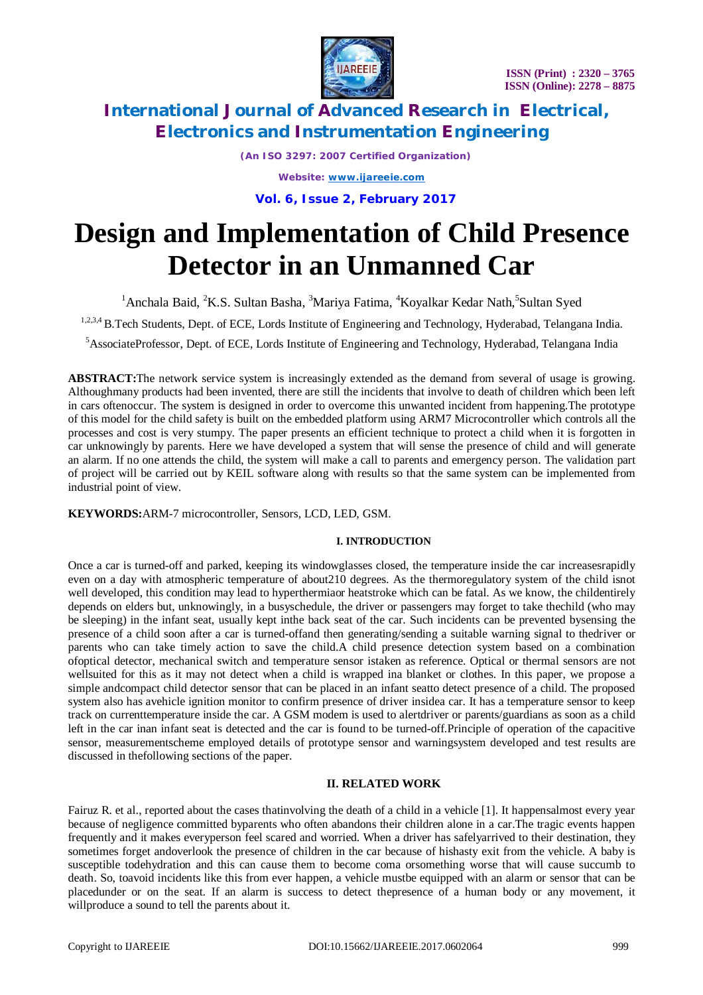

*(An ISO 3297: 2007 Certified Organization)*

*Website: [www.ijareeie.com](http://www.ijareeie.com)*

**Vol. 6, Issue 2, February 2017**

# **Design and Implementation of Child Presence Detector in an Unmanned Car**

<sup>1</sup> Anchala Baid, <sup>2</sup>K.S. Sultan Basha, <sup>3</sup>Mariya Fatima, <sup>4</sup>Koyalkar Kedar Nath, <sup>5</sup>Sultan Syed

<sup>1,2,3,4</sup> B.Tech Students, Dept. of ECE, Lords Institute of Engineering and Technology, Hyderabad, Telangana India.

<sup>5</sup>AssociateProfessor, Dept. of ECE, Lords Institute of Engineering and Technology, Hyderabad, Telangana India

**ABSTRACT:**The network service system is increasingly extended as the demand from several of usage is growing. Althoughmany products had been invented, there are still the incidents that involve to death of children which been left in cars oftenoccur. The system is designed in order to overcome this unwanted incident from happening.The prototype of this model for the child safety is built on the embedded platform using ARM7 Microcontroller which controls all the processes and cost is very stumpy. The paper presents an efficient technique to protect a child when it is forgotten in car unknowingly by parents. Here we have developed a system that will sense the presence of child and will generate an alarm. If no one attends the child, the system will make a call to parents and emergency person. The validation part of project will be carried out by KEIL software along with results so that the same system can be implemented from industrial point of view.

**KEYWORDS:**ARM-7 microcontroller, Sensors, LCD, LED, GSM.

### **I. INTRODUCTION**

Once a car is turned-off and parked, keeping its windowglasses closed, the temperature inside the car increasesrapidly even on a day with atmospheric temperature of about210 degrees. As the thermoregulatory system of the child isnot well developed, this condition may lead to hyperthermiaor heatstroke which can be fatal. As we know, the childentirely depends on elders but, unknowingly, in a busyschedule, the driver or passengers may forget to take thechild (who may be sleeping) in the infant seat, usually kept inthe back seat of the car. Such incidents can be prevented bysensing the presence of a child soon after a car is turned-offand then generating/sending a suitable warning signal to thedriver or parents who can take timely action to save the child.A child presence detection system based on a combination ofoptical detector, mechanical switch and temperature sensor istaken as reference. Optical or thermal sensors are not wellsuited for this as it may not detect when a child is wrapped ina blanket or clothes. In this paper, we propose a simple andcompact child detector sensor that can be placed in an infant seatto detect presence of a child. The proposed system also has avehicle ignition monitor to confirm presence of driver insidea car. It has a temperature sensor to keep track on currenttemperature inside the car. A GSM modem is used to alertdriver or parents/guardians as soon as a child left in the car inan infant seat is detected and the car is found to be turned-off.Principle of operation of the capacitive sensor, measurementscheme employed details of prototype sensor and warningsystem developed and test results are discussed in thefollowing sections of the paper.

# **II. RELATED WORK**

Fairuz R. et al., reported about the cases thatinvolving the death of a child in a vehicle [1]. It happensalmost every year because of negligence committed byparents who often abandons their children alone in a car.The tragic events happen frequently and it makes everyperson feel scared and worried. When a driver has safelyarrived to their destination, they sometimes forget andoverlook the presence of children in the car because of hishasty exit from the vehicle. A baby is susceptible todehydration and this can cause them to become coma orsomething worse that will cause succumb to death. So, toavoid incidents like this from ever happen, a vehicle mustbe equipped with an alarm or sensor that can be placedunder or on the seat. If an alarm is success to detect thepresence of a human body or any movement, it willproduce a sound to tell the parents about it.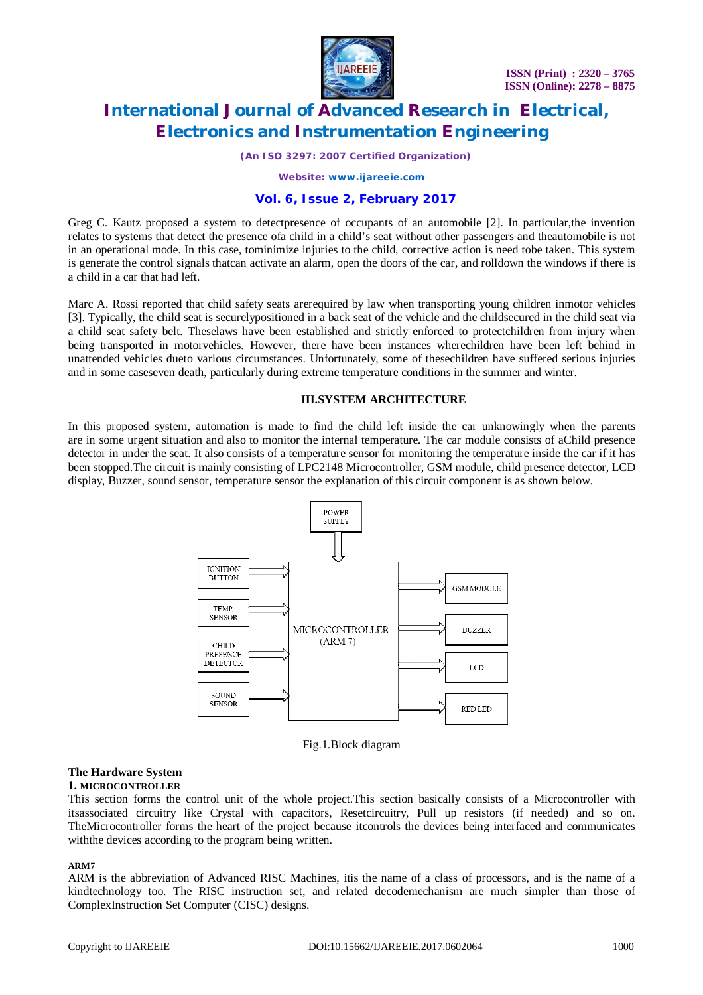

*(An ISO 3297: 2007 Certified Organization)*

*Website: [www.ijareeie.com](http://www.ijareeie.com)*

# **Vol. 6, Issue 2, February 2017**

Greg C. Kautz proposed a system to detectpresence of occupants of an automobile [2]. In particular,the invention relates to systems that detect the presence ofa child in a child's seat without other passengers and theautomobile is not in an operational mode. In this case, tominimize injuries to the child, corrective action is need tobe taken. This system is generate the control signals thatcan activate an alarm, open the doors of the car, and rolldown the windows if there is a child in a car that had left.

Marc A. Rossi reported that child safety seats arerequired by law when transporting young children inmotor vehicles [3]. Typically, the child seat is securelypositioned in a back seat of the vehicle and the childsecured in the child seat via a child seat safety belt. Theselaws have been established and strictly enforced to protectchildren from injury when being transported in motorvehicles. However, there have been instances wherechildren have been left behind in unattended vehicles dueto various circumstances. Unfortunately, some of thesechildren have suffered serious injuries and in some caseseven death, particularly during extreme temperature conditions in the summer and winter.

### **III.SYSTEM ARCHITECTURE**

In this proposed system, automation is made to find the child left inside the car unknowingly when the parents are in some urgent situation and also to monitor the internal temperature. The car module consists of aChild presence detector in under the seat. It also consists of a temperature sensor for monitoring the temperature inside the car if it has been stopped.The circuit is mainly consisting of LPC2148 Microcontroller, GSM module, child presence detector, LCD display, Buzzer, sound sensor, temperature sensor the explanation of this circuit component is as shown below.



Fig.1.Block diagram

### **The Hardware System**

### **1. MICROCONTROLLER**

This section forms the control unit of the whole project.This section basically consists of a Microcontroller with itsassociated circuitry like Crystal with capacitors, Resetcircuitry, Pull up resistors (if needed) and so on. TheMicrocontroller forms the heart of the project because itcontrols the devices being interfaced and communicates withthe devices according to the program being written.

### **ARM7**

ARM is the abbreviation of Advanced RISC Machines, itis the name of a class of processors, and is the name of a kindtechnology too. The RISC instruction set, and related decodemechanism are much simpler than those of ComplexInstruction Set Computer (CISC) designs.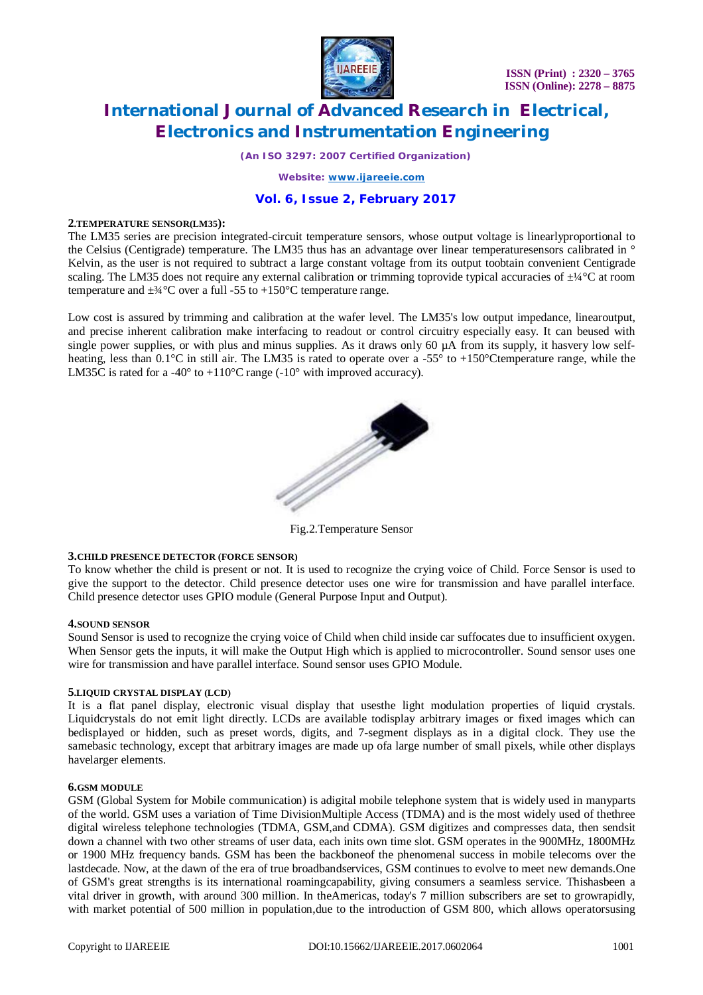

*(An ISO 3297: 2007 Certified Organization)*

*Website: [www.ijareeie.com](http://www.ijareeie.com)*

# **Vol. 6, Issue 2, February 2017**

### **2.TEMPERATURE SENSOR(LM35):**

The LM35 series are precision integrated-circuit temperature sensors, whose output voltage is linearlyproportional to the Celsius (Centigrade) temperature. The LM35 thus has an advantage over linear temperaturesensors calibrated in ° Kelvin, as the user is not required to subtract a large constant voltage from its output toobtain convenient Centigrade scaling. The LM35 does not require any external calibration or trimming toprovide typical accuracies of  $\pm\frac{1}{4}$ °C at room temperature and  $\pm$ <sup>3</sup>/<sub>4</sub>°C over a full -55 to +150°C temperature range.

Low cost is assured by trimming and calibration at the wafer level. The LM35's low output impedance, linearoutput, and precise inherent calibration make interfacing to readout or control circuitry especially easy. It can beused with single power supplies, or with plus and minus supplies. As it draws only 60 uA from its supply, it hasvery low selfheating, less than 0.1°C in still air. The LM35 is rated to operate over a -55° to +150°Ctemperature range, while the LM35C is rated for a -40 $\degree$  to +110 $\degree$ C range (-10 $\degree$  with improved accuracy).



Fig.2.Temperature Sensor

### **3.CHILD PRESENCE DETECTOR (FORCE SENSOR)**

To know whether the child is present or not. It is used to recognize the crying voice of Child. Force Sensor is used to give the support to the detector. Child presence detector uses one wire for transmission and have parallel interface. Child presence detector uses GPIO module (General Purpose Input and Output).

### **4.SOUND SENSOR**

Sound Sensor is used to recognize the crying voice of Child when child inside car suffocates due to insufficient oxygen. When Sensor gets the inputs, it will make the Output High which is applied to microcontroller. Sound sensor uses one wire for transmission and have parallel interface. Sound sensor uses GPIO Module.

### **5.LIQUID CRYSTAL DISPLAY (LCD)**

It is a flat panel display, electronic visual display that usesthe light modulation properties of liquid crystals. Liquidcrystals do not emit light directly. LCDs are available todisplay arbitrary images or fixed images which can bedisplayed or hidden, such as preset words, digits, and 7-segment displays as in a digital clock. They use the samebasic technology, except that arbitrary images are made up ofa large number of small pixels, while other displays havelarger elements.

### **6.GSM MODULE**

GSM (Global System for Mobile communication) is adigital mobile telephone system that is widely used in manyparts of the world. GSM uses a variation of Time DivisionMultiple Access (TDMA) and is the most widely used of thethree digital wireless telephone technologies (TDMA, GSM,and CDMA). GSM digitizes and compresses data, then sendsit down a channel with two other streams of user data, each inits own time slot. GSM operates in the 900MHz, 1800MHz or 1900 MHz frequency bands. GSM has been the backboneof the phenomenal success in mobile telecoms over the lastdecade. Now, at the dawn of the era of true broadbandservices, GSM continues to evolve to meet new demands.One of GSM's great strengths is its international roamingcapability, giving consumers a seamless service. Thishasbeen a vital driver in growth, with around 300 million. In theAmericas, today's 7 million subscribers are set to growrapidly, with market potential of 500 million in population,due to the introduction of GSM 800, which allows operatorsusing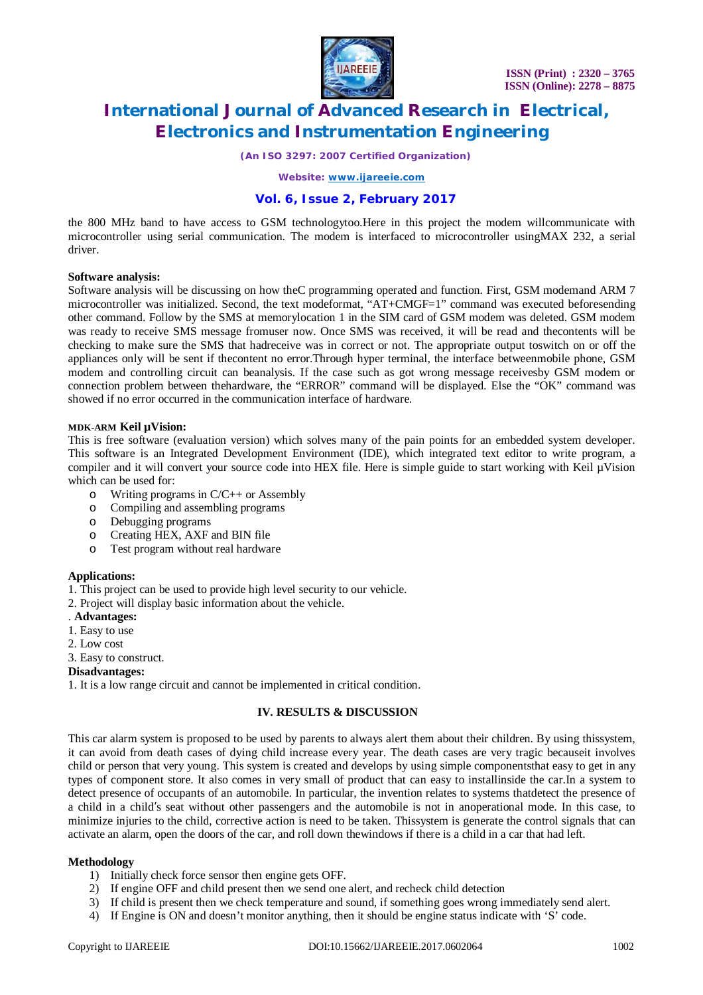

*(An ISO 3297: 2007 Certified Organization)*

*Website: [www.ijareeie.com](http://www.ijareeie.com)*

# **Vol. 6, Issue 2, February 2017**

the 800 MHz band to have access to GSM technologytoo.Here in this project the modem willcommunicate with microcontroller using serial communication. The modem is interfaced to microcontroller usingMAX 232, a serial driver.

### **Software analysis:**

Software analysis will be discussing on how theC programming operated and function. First, GSM modemand ARM 7 microcontroller was initialized. Second, the text modeformat, "AT+CMGF=1" command was executed beforesending other command. Follow by the SMS at memorylocation 1 in the SIM card of GSM modem was deleted. GSM modem was ready to receive SMS message fromuser now. Once SMS was received, it will be read and thecontents will be checking to make sure the SMS that hadreceive was in correct or not. The appropriate output toswitch on or off the appliances only will be sent if thecontent no error.Through hyper terminal, the interface betweenmobile phone, GSM modem and controlling circuit can beanalysis. If the case such as got wrong message receivesby GSM modem or connection problem between thehardware, the "ERROR" command will be displayed. Else the "OK" command was showed if no error occurred in the communication interface of hardware.

### **MDK-ARM Keil µVision:**

This is free software (evaluation version) which solves many of the pain points for an embedded system developer. This software is an Integrated Development Environment (IDE), which integrated text editor to write program, a compiler and it will convert your source code into HEX file. Here is simple guide to start working with Keil µVision which can be used for:

- o Writing programs in C/C++ or Assembly
- o Compiling and assembling programs
- o Debugging programs
- o Creating HEX, AXF and BIN file
- o Test program without real hardware

### **Applications:**

1. This project can be used to provide high level security to our vehicle.

2. Project will display basic information about the vehicle.

- . **Advantages:**
- 1. Easy to use
- 2. Low cost
- 3. Easy to construct.

### **Disadvantages:**

1. It is a low range circuit and cannot be implemented in critical condition.

### **IV. RESULTS & DISCUSSION**

This car alarm system is proposed to be used by parents to always alert them about their children. By using thissystem, it can avoid from death cases of dying child increase every year. The death cases are very tragic becauseit involves child or person that very young. This system is created and develops by using simple componentsthat easy to get in any types of component store. It also comes in very small of product that can easy to installinside the car.In a system to detect presence of occupants of an automobile. In particular, the invention relates to systems thatdetect the presence of a child in a child's seat without other passengers and the automobile is not in anoperational mode. In this case, to minimize injuries to the child, corrective action is need to be taken. Thissystem is generate the control signals that can activate an alarm, open the doors of the car, and roll down thewindows if there is a child in a car that had left.

### **Methodology**

- 1) Initially check force sensor then engine gets OFF.
- 2) If engine OFF and child present then we send one alert, and recheck child detection
- 3) If child is present then we check temperature and sound, if something goes wrong immediately send alert.
- 4) If Engine is ON and doesn't monitor anything, then it should be engine status indicate with 'S' code.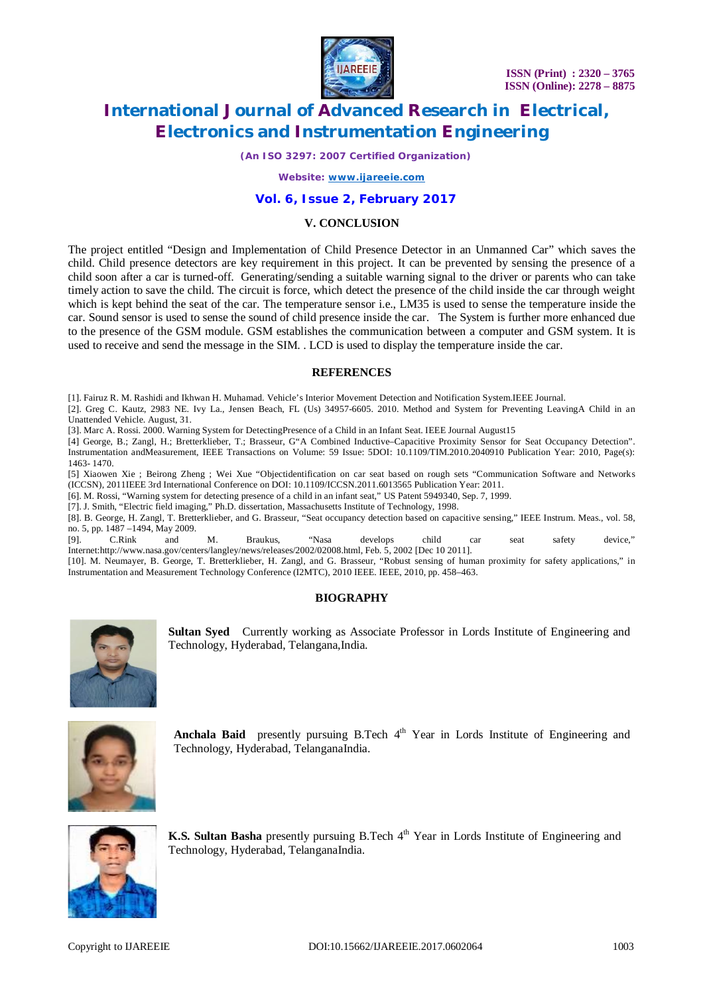

*(An ISO 3297: 2007 Certified Organization)*

*Website: [www.ijareeie.com](http://www.ijareeie.com)*

# **Vol. 6, Issue 2, February 2017**

### **V. CONCLUSION**

The project entitled "Design and Implementation of Child Presence Detector in an Unmanned Car" which saves the child. Child presence detectors are key requirement in this project. It can be prevented by sensing the presence of a child soon after a car is turned-off. Generating/sending a suitable warning signal to the driver or parents who can take timely action to save the child. The circuit is force, which detect the presence of the child inside the car through weight which is kept behind the seat of the car. The temperature sensor i.e., LM35 is used to sense the temperature inside the car. Sound sensor is used to sense the sound of child presence inside the car. The System is further more enhanced due to the presence of the GSM module. GSM establishes the communication between a computer and GSM system. It is used to receive and send the message in the SIM. . LCD is used to display the temperature inside the car.

### **REFERENCES**

[1]. Fairuz R. M. Rashidi and Ikhwan H. Muhamad. Vehicle's Interior Movement Detection and Notification System.IEEE Journal.

[2]. Greg C. Kautz, 2983 NE. Ivy La., Jensen Beach, FL (Us) 34957-6605. 2010. Method and System for Preventing LeavingA Child in an Unattended Vehicle. August, 31.

[3]. Marc A. Rossi. 2000. Warning System for DetectingPresence of a Child in an Infant Seat. IEEE Journal August15

[4] George, B.; Zangl, H.; Bretterklieber, T.; Brasseur, G"A Combined Inductive–Capacitive Proximity Sensor for Seat Occupancy Detection". Instrumentation andMeasurement, IEEE Transactions on Volume: 59 Issue: 5DOI: 10.1109/TIM.2010.2040910 Publication Year: 2010, Page(s): 1463- 1470.

[5] Xiaowen Xie ; Beirong Zheng ; Wei Xue "Objectidentification on car seat based on rough sets "Communication Software and Networks (ICCSN), 2011IEEE 3rd International Conference on DOI: 10.1109/ICCSN.2011.6013565 Publication Year: 2011.

[6]. M. Rossi, "Warning system for detecting presence of a child in an infant seat," US Patent 5949340, Sep. 7, 1999.

[7]. J. Smith, "Electric field imaging," Ph.D. dissertation, Massachusetts Institute of Technology, 1998.

[8]. B. George, H. Zangl, T. Bretterklieber, and G. Brasseur, "Seat occupancy detection based on capacitive sensing," IEEE Instrum. Meas., vol. 58, no. 5, pp.  $1487 - 1494$ , May 2009.<br>[9] C Rink and

[9]. C.Rink and M. Braukus, "Nasa develops child car seat safety device," Internet:<http://www.nasa.gov/centers/langley/news/releases/2002/02008.html,> Feb. 5, 2002 [Dec 10 2011].

[10]. M. Neumayer, B. George, T. Bretterklieber, H. Zangl, and G. Brasseur, "Robust sensing of human proximity for safety applications," in Instrumentation and Measurement Technology Conference (I2MTC), 2010 IEEE. IEEE, 2010, pp. 458–463.

### **BIOGRAPHY**



**Sultan Syed** Currently working as Associate Professor in Lords Institute of Engineering and Technology, Hyderabad, Telangana,India.



Anchala Baid presently pursuing B.Tech 4<sup>th</sup> Year in Lords Institute of Engineering and Technology, Hyderabad, TelanganaIndia.



**K.S. Sultan Basha** presently pursuing B.Tech 4<sup>th</sup> Year in Lords Institute of Engineering and Technology, Hyderabad, TelanganaIndia.